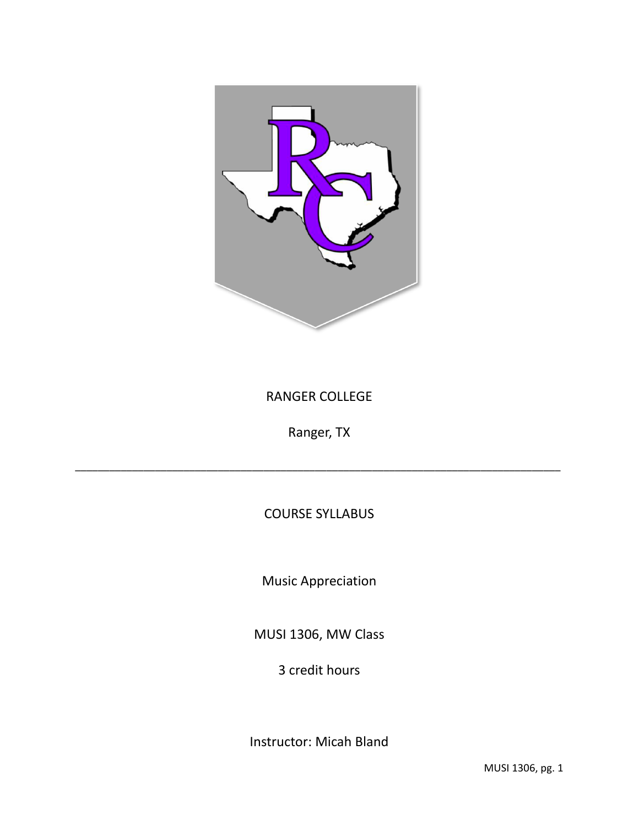

# RANGER COLLEGE

Ranger, TX

\_\_\_\_\_\_\_\_\_\_\_\_\_\_\_\_\_\_\_\_\_\_\_\_\_\_\_\_\_\_\_\_\_\_\_\_\_\_\_\_\_\_\_\_\_\_\_\_\_\_\_\_\_\_\_\_\_\_\_\_\_\_\_\_\_\_\_\_\_\_\_\_\_\_\_\_\_\_\_\_\_\_\_\_\_

# COURSE SYLLABUS

Music Appreciation

MUSI 1306, MW Class

3 credit hours

Instructor: Micah Bland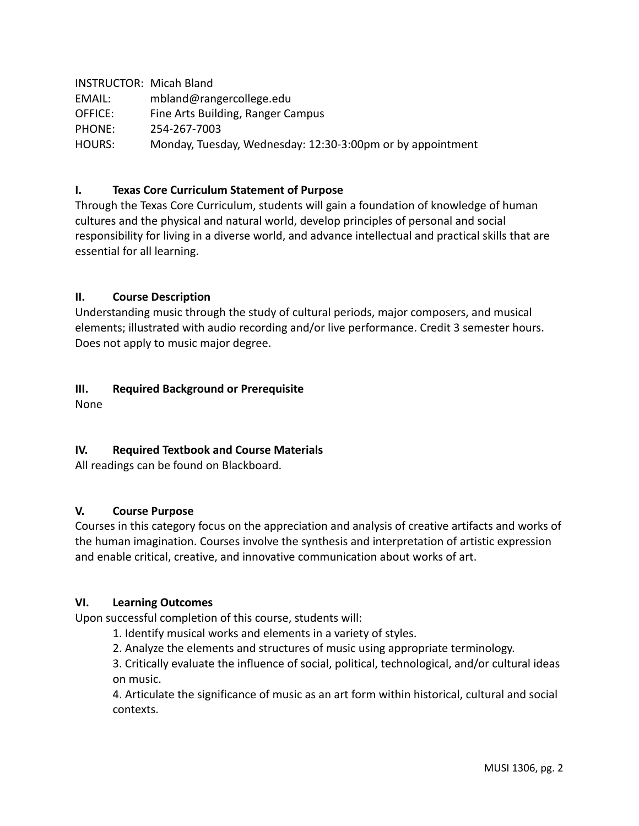INSTRUCTOR: Micah Bland EMAIL: mbland@rangercollege.edu OFFICE: Fine Arts Building, Ranger Campus PHONE: 254-267-7003 HOURS: Monday, Tuesday, Wednesday: 12:30-3:00pm or by appointment

## **I. Texas Core Curriculum Statement of Purpose**

Through the Texas Core Curriculum, students will gain a foundation of knowledge of human cultures and the physical and natural world, develop principles of personal and social responsibility for living in a diverse world, and advance intellectual and practical skills that are essential for all learning.

#### **II. Course Description**

Understanding music through the study of cultural periods, major composers, and musical elements; illustrated with audio recording and/or live performance. Credit 3 semester hours. Does not apply to music major degree.

#### **III. Required Background or Prerequisite**

None

# **IV. Required Textbook and Course Materials**

All readings can be found on Blackboard.

#### **V. Course Purpose**

Courses in this category focus on the appreciation and analysis of creative artifacts and works of the human imagination. Courses involve the synthesis and interpretation of artistic expression and enable critical, creative, and innovative communication about works of art.

#### **VI. Learning Outcomes**

Upon successful completion of this course, students will:

1. Identify musical works and elements in a variety of styles.

2. Analyze the elements and structures of music using appropriate terminology.

3. Critically evaluate the influence of social, political, technological, and/or cultural ideas on music.

4. Articulate the significance of music as an art form within historical, cultural and social contexts.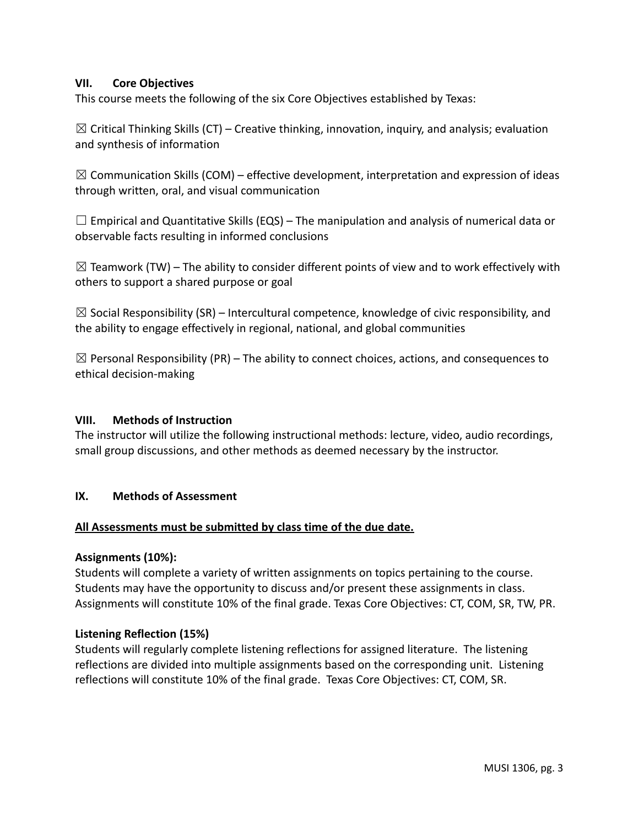#### **VII. Core Objectives**

This course meets the following of the six Core Objectives established by Texas:

 $\boxtimes$  Critical Thinking Skills (CT) – Creative thinking, innovation, inquiry, and analysis; evaluation and synthesis of information

 $\boxtimes$  Communication Skills (COM) – effective development, interpretation and expression of ideas through written, oral, and visual communication

 $\Box$  Empirical and Quantitative Skills (EQS) – The manipulation and analysis of numerical data or observable facts resulting in informed conclusions

 $\boxtimes$  Teamwork (TW) – The ability to consider different points of view and to work effectively with others to support a shared purpose or goal

 $\boxtimes$  Social Responsibility (SR) – Intercultural competence, knowledge of civic responsibility, and the ability to engage effectively in regional, national, and global communities

 $\boxtimes$  Personal Responsibility (PR) – The ability to connect choices, actions, and consequences to ethical decision-making

#### **VIII. Methods of Instruction**

The instructor will utilize the following instructional methods: lecture, video, audio recordings, small group discussions, and other methods as deemed necessary by the instructor.

#### **IX. Methods of Assessment**

#### **All Assessments must be submitted by class time of the due date.**

#### **Assignments (10%):**

Students will complete a variety of written assignments on topics pertaining to the course. Students may have the opportunity to discuss and/or present these assignments in class. Assignments will constitute 10% of the final grade. Texas Core Objectives: CT, COM, SR, TW, PR.

#### **Listening Reflection (15%)**

Students will regularly complete listening reflections for assigned literature. The listening reflections are divided into multiple assignments based on the corresponding unit. Listening reflections will constitute 10% of the final grade. Texas Core Objectives: CT, COM, SR.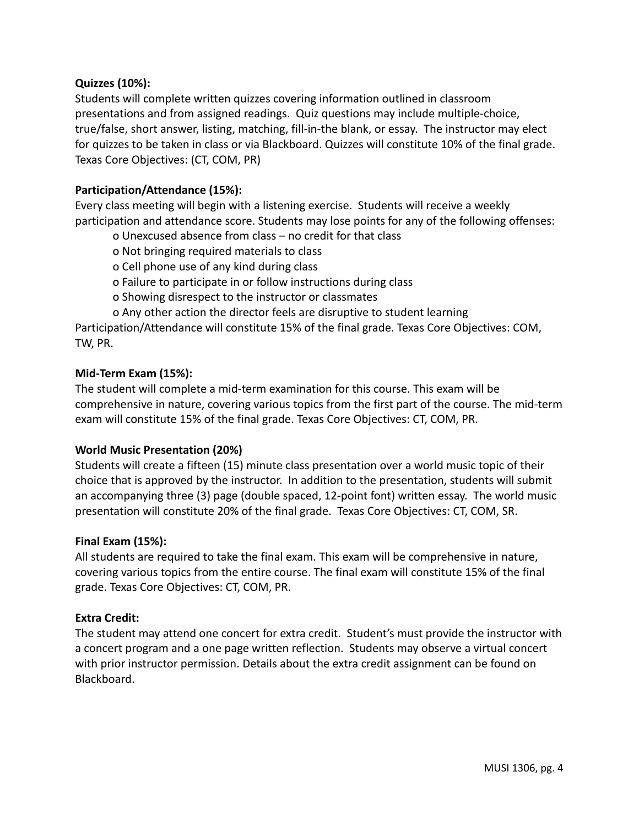## **Quizzes (10%):**

Students will complete written quizzes covering information outlined in classroom presentations and from assigned readings. Quiz questions may include multiple-choice, true/false, short answer, listing, matching, fill-in-the blank, or essay. The instructor may elect for quizzes to be taken in class or via Blackboard. Quizzes will constitute 10% of the final grade. Texas Core Objectives: (CT, COM, PR)

## **Participation/Attendance (15%):**

Every class meeting will begin with a listening exercise. Students will receive a weekly participation and attendance score. Students may lose points for any of the following offenses:

- o Unexcused absence from class no credit for that class
- o Not bringing required materials to class
- o Cell phone use of any kind during class
- o Failure to participate in or follow instructions during class
- o Showing disrespect to the instructor or classmates
- o Any other action the director feels are disruptive to student learning

Participation/Attendance will constitute 15% of the final grade. Texas Core Objectives: COM, TW, PR.

#### **Mid-Term Exam (15%):**

The student will complete a mid-term examination for this course. This exam will be comprehensive in nature, covering various topics from the first part of the course. The mid-term exam will constitute 15% of the final grade. Texas Core Objectives: CT, COM, PR.

#### **World Music Presentation (20%)**

Students will create a fifteen (15) minute class presentation over a world music topic of their choice that is approved by the instructor. In addition to the presentation, students will submit an accompanying three (3) page (double spaced, 12-point font) written essay. The world music presentation will constitute 20% of the final grade. Texas Core Objectives: CT, COM, SR.

#### **Final Exam (15%):**

All students are required to take the final exam. This exam will be comprehensive in nature, covering various topics from the entire course. The final exam will constitute 15% of the final grade. Texas Core Objectives: CT, COM, PR.

# **Extra Credit:**

The student may attend one concert for extra credit. Student's must provide the instructor with a concert program and a one page written reflection. Students may observe a virtual concert with prior instructor permission. Details about the extra credit assignment can be found on Blackboard.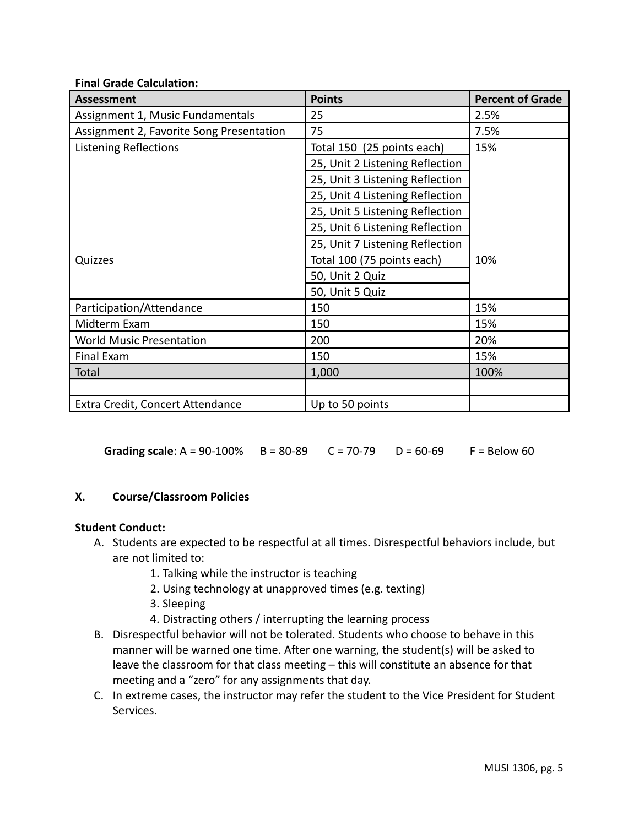#### **Final Grade Calculation:**

| Assessment                               | <b>Points</b>                   | <b>Percent of Grade</b> |
|------------------------------------------|---------------------------------|-------------------------|
| Assignment 1, Music Fundamentals         | 25                              | 2.5%                    |
| Assignment 2, Favorite Song Presentation | 75                              | 7.5%                    |
| <b>Listening Reflections</b>             | Total 150 (25 points each)      | 15%                     |
|                                          | 25, Unit 2 Listening Reflection |                         |
|                                          | 25, Unit 3 Listening Reflection |                         |
|                                          | 25, Unit 4 Listening Reflection |                         |
|                                          | 25, Unit 5 Listening Reflection |                         |
|                                          | 25, Unit 6 Listening Reflection |                         |
|                                          | 25, Unit 7 Listening Reflection |                         |
| Quizzes                                  | Total 100 (75 points each)      | 10%                     |
|                                          | 50, Unit 2 Quiz                 |                         |
|                                          | 50, Unit 5 Quiz                 |                         |
| Participation/Attendance                 | 150                             | 15%                     |
| Midterm Exam                             | 150                             | 15%                     |
| <b>World Music Presentation</b>          | 200                             | 20%                     |
| <b>Final Exam</b>                        | 150                             | 15%                     |
| Total                                    | 1,000                           | 100%                    |
|                                          |                                 |                         |
| Extra Credit, Concert Attendance         | Up to 50 points                 |                         |

**Grading scale**: A = 90-100% B = 80-89 C = 70-79 D = 60-69 F = Below 60

# **X. Course/Classroom Policies**

#### **Student Conduct:**

- A. Students are expected to be respectful at all times. Disrespectful behaviors include, but are not limited to:
	- 1. Talking while the instructor is teaching
	- 2. Using technology at unapproved times (e.g. texting)
	- 3. Sleeping
	- 4. Distracting others / interrupting the learning process
- B. Disrespectful behavior will not be tolerated. Students who choose to behave in this manner will be warned one time. After one warning, the student(s) will be asked to leave the classroom for that class meeting – this will constitute an absence for that meeting and a "zero" for any assignments that day.
- C. In extreme cases, the instructor may refer the student to the Vice President for Student Services.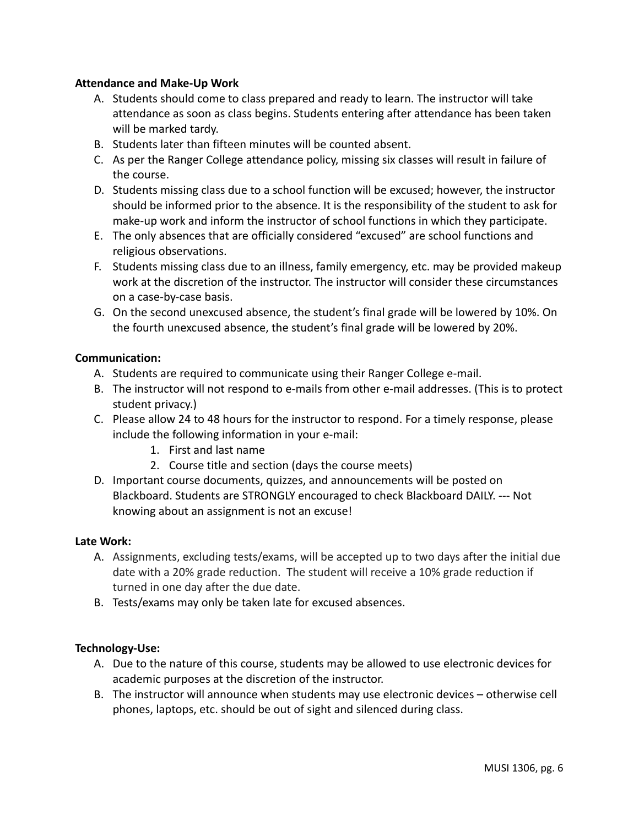#### **Attendance and Make-Up Work**

- A. Students should come to class prepared and ready to learn. The instructor will take attendance as soon as class begins. Students entering after attendance has been taken will be marked tardy.
- B. Students later than fifteen minutes will be counted absent.
- C. As per the Ranger College attendance policy, missing six classes will result in failure of the course.
- D. Students missing class due to a school function will be excused; however, the instructor should be informed prior to the absence. It is the responsibility of the student to ask for make-up work and inform the instructor of school functions in which they participate.
- E. The only absences that are officially considered "excused" are school functions and religious observations.
- F. Students missing class due to an illness, family emergency, etc. may be provided makeup work at the discretion of the instructor. The instructor will consider these circumstances on a case-by-case basis.
- G. On the second unexcused absence, the student's final grade will be lowered by 10%. On the fourth unexcused absence, the student's final grade will be lowered by 20%.

## **Communication:**

- A. Students are required to communicate using their Ranger College e-mail.
- B. The instructor will not respond to e-mails from other e-mail addresses. (This is to protect student privacy.)
- C. Please allow 24 to 48 hours for the instructor to respond. For a timely response, please include the following information in your e-mail:
	- 1. First and last name
	- 2. Course title and section (days the course meets)
- D. Important course documents, quizzes, and announcements will be posted on Blackboard. Students are STRONGLY encouraged to check Blackboard DAILY. --- Not knowing about an assignment is not an excuse!

#### **Late Work:**

- A. Assignments, excluding tests/exams, will be accepted up to two days after the initial due date with a 20% grade reduction. The student will receive a 10% grade reduction if turned in one day after the due date.
- B. Tests/exams may only be taken late for excused absences.

# **Technology-Use:**

- A. Due to the nature of this course, students may be allowed to use electronic devices for academic purposes at the discretion of the instructor.
- B. The instructor will announce when students may use electronic devices otherwise cell phones, laptops, etc. should be out of sight and silenced during class.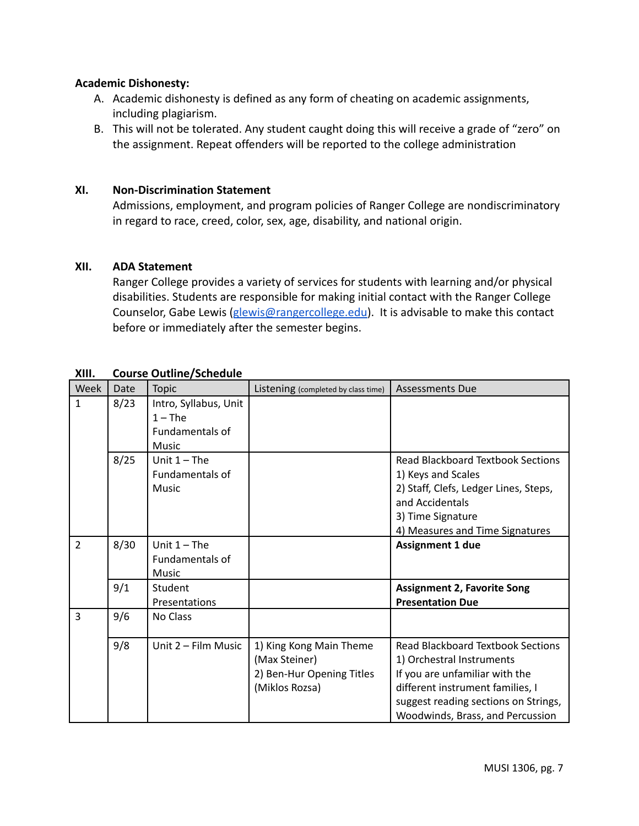#### **Academic Dishonesty:**

- A. Academic dishonesty is defined as any form of cheating on academic assignments, including plagiarism.
- B. This will not be tolerated. Any student caught doing this will receive a grade of "zero" on the assignment. Repeat offenders will be reported to the college administration

#### **XI. Non-Discrimination Statement**

Admissions, employment, and program policies of Ranger College are nondiscriminatory in regard to race, creed, color, sex, age, disability, and national origin.

#### **XII. ADA Statement**

Ranger College provides a variety of services for students with learning and/or physical disabilities. Students are responsible for making initial contact with the Ranger College Counselor, Gabe Lewis ([glewis@rangercollege.edu](mailto:glewis@rangercollege.edu)). It is advisable to make this contact before or immediately after the semester begins.

| Week           | Date | <b>Topic</b>                                                          | Listening (completed by class time)                                                     | <b>Assessments Due</b>                                                                                                                                                                                                  |
|----------------|------|-----------------------------------------------------------------------|-----------------------------------------------------------------------------------------|-------------------------------------------------------------------------------------------------------------------------------------------------------------------------------------------------------------------------|
| $\mathbf{1}$   | 8/23 | Intro, Syllabus, Unit<br>$1 - The$<br>Fundamentals of<br><b>Music</b> |                                                                                         |                                                                                                                                                                                                                         |
|                | 8/25 | Unit $1 -$ The<br>Fundamentals of<br>Music                            |                                                                                         | <b>Read Blackboard Textbook Sections</b><br>1) Keys and Scales<br>2) Staff, Clefs, Ledger Lines, Steps,<br>and Accidentals<br>3) Time Signature<br>4) Measures and Time Signatures                                      |
| $\overline{2}$ | 8/30 | Unit $1 -$ The<br><b>Fundamentals of</b><br>Music                     |                                                                                         | <b>Assignment 1 due</b>                                                                                                                                                                                                 |
|                | 9/1  | Student<br>Presentations                                              |                                                                                         | <b>Assignment 2, Favorite Song</b><br><b>Presentation Due</b>                                                                                                                                                           |
| 3              | 9/6  | No Class                                                              |                                                                                         |                                                                                                                                                                                                                         |
|                | 9/8  | Unit 2 - Film Music                                                   | 1) King Kong Main Theme<br>(Max Steiner)<br>2) Ben-Hur Opening Titles<br>(Miklos Rozsa) | <b>Read Blackboard Textbook Sections</b><br>1) Orchestral Instruments<br>If you are unfamiliar with the<br>different instrument families, I<br>suggest reading sections on Strings,<br>Woodwinds, Brass, and Percussion |

# **XIII. Course Outline/Schedule**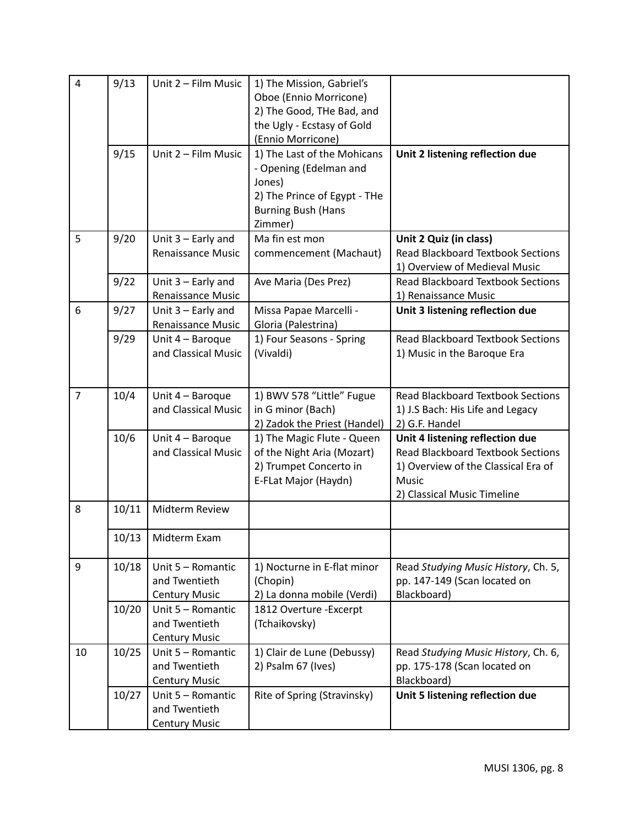| $\overline{4}$ | 9/13<br>9/15 | Unit 2 - Film Music<br>Unit 2 - Film Music                 | 1) The Mission, Gabriel's<br>Oboe (Ennio Morricone)<br>2) The Good, THe Bad, and<br>the Ugly - Ecstasy of Gold<br>(Ennio Morricone)<br>1) The Last of the Mohicans<br>- Opening (Edelman and | Unit 2 listening reflection due                                                                                                                            |
|----------------|--------------|------------------------------------------------------------|----------------------------------------------------------------------------------------------------------------------------------------------------------------------------------------------|------------------------------------------------------------------------------------------------------------------------------------------------------------|
|                |              |                                                            | Jones)<br>2) The Prince of Egypt - THe<br><b>Burning Bush (Hans</b><br>Zimmer)                                                                                                               |                                                                                                                                                            |
| 5              | 9/20         | Unit $3$ – Early and<br>Renaissance Music                  | Ma fin est mon<br>commencement (Machaut)                                                                                                                                                     | Unit 2 Quiz (in class)<br><b>Read Blackboard Textbook Sections</b><br>1) Overview of Medieval Music                                                        |
|                | 9/22         | Unit $3$ – Early and<br>Renaissance Music                  | Ave Maria (Des Prez)                                                                                                                                                                         | <b>Read Blackboard Textbook Sections</b><br>1) Renaissance Music                                                                                           |
| 6              | 9/27         | Unit $3$ – Early and<br><b>Renaissance Music</b>           | Missa Papae Marcelli -<br>Gloria (Palestrina)                                                                                                                                                | Unit 3 listening reflection due                                                                                                                            |
|                | 9/29         | Unit 4 - Baroque<br>and Classical Music                    | 1) Four Seasons - Spring<br>(Vivaldi)                                                                                                                                                        | <b>Read Blackboard Textbook Sections</b><br>1) Music in the Baroque Era                                                                                    |
| $\overline{7}$ | 10/4         | Unit 4 - Baroque<br>and Classical Music                    | 1) BWV 578 "Little" Fugue<br>in G minor (Bach)<br>2) Zadok the Priest (Handel)                                                                                                               | <b>Read Blackboard Textbook Sections</b><br>1) J.S Bach: His Life and Legacy<br>2) G.F. Handel                                                             |
|                | 10/6         | Unit 4 - Baroque<br>and Classical Music                    | 1) The Magic Flute - Queen<br>of the Night Aria (Mozart)<br>2) Trumpet Concerto in<br>E-FLat Major (Haydn)                                                                                   | Unit 4 listening reflection due<br><b>Read Blackboard Textbook Sections</b><br>1) Overview of the Classical Era of<br>Music<br>2) Classical Music Timeline |
| 8              | 10/11        | Midterm Review                                             |                                                                                                                                                                                              |                                                                                                                                                            |
|                | 10/13        | Midterm Exam                                               |                                                                                                                                                                                              |                                                                                                                                                            |
| 9              | 10/18        | Unit 5 - Romantic<br>and Twentieth<br><b>Century Music</b> | 1) Nocturne in E-flat minor<br>(Chopin)<br>2) La donna mobile (Verdi)                                                                                                                        | Read Studying Music History, Ch. 5,<br>pp. 147-149 (Scan located on<br>Blackboard)                                                                         |
|                | 10/20        | Unit 5 - Romantic<br>and Twentieth<br><b>Century Music</b> | 1812 Overture - Excerpt<br>(Tchaikovsky)                                                                                                                                                     |                                                                                                                                                            |
| 10             | 10/25        | Unit 5 - Romantic<br>and Twentieth<br><b>Century Music</b> | 1) Clair de Lune (Debussy)<br>2) Psalm 67 (Ives)                                                                                                                                             | Read Studying Music History, Ch. 6,<br>pp. 175-178 (Scan located on<br>Blackboard)                                                                         |
|                | 10/27        | Unit 5 - Romantic<br>and Twentieth<br><b>Century Music</b> | Rite of Spring (Stravinsky)                                                                                                                                                                  | Unit 5 listening reflection due                                                                                                                            |